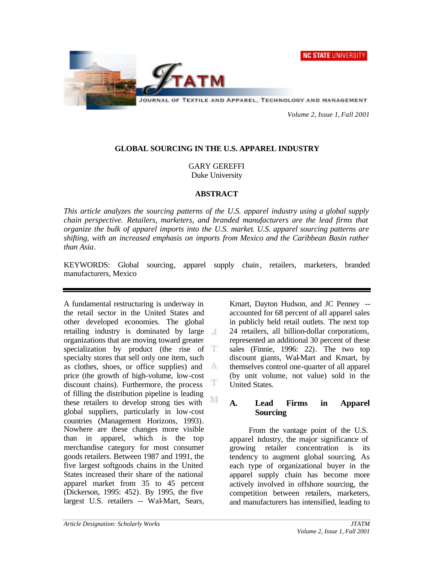**NC STATE UNIVERSITY** 



JOURNAL OF TEXTILE AND APPAREL, TECHNOLOGY AND MANAGEMENT

*Volume 2, Issue 1, Fall 2001*

### **GLOBAL SOURCING IN THE U.S. APPAREL INDUSTRY**

GARY GEREFFI Duke University

### **ABSTRACT**

*This article analyzes the sourcing patterns of the U.S. apparel industry using a global supply chain perspective. Retailers, marketers, and branded manufacturers are the lead firms that organize the bulk of apparel imports into the U.S. market. U.S. apparel sourcing patterns are shifting, with an increased emphasis on imports from Mexico and the Caribbean Basin rather than Asia.*

KEYWORDS: Global sourcing, apparel supply chain, retailers, marketers, branded manufacturers, Mexico

A fundamental restructuring is underway in the retail sector in the United States and other developed economies. The global retailing industry is dominated by large organizations that are moving toward greater specialization by product (the rise of T specialty stores that sell only one item, such as clothes, shoes, or office supplies) and А price (the growth of high-volume, low-cost Œ. discount chains). Furthermore, the process of filling the distribution pipeline is leading M these retailers to develop strong ties with global suppliers, particularly in low-cost countries (Management Horizons, 1993). Nowhere are these changes more visible than in apparel, which is the top merchandise category for most consumer goods retailers. Between 1987 and 1991, the five largest softgoods chains in the United States increased their share of the national apparel market from 35 to 45 percent (Dickerson, 1995: 452). By 1995, the five largest U.S. retailers -- Wal-Mart, Sears,

Kmart, Dayton Hudson, and JC Penney - accounted for 68 percent of all apparel sales in publicly held retail outlets. The next top 24 retailers, all billion-dollar corporations, represented an additional 30 percent of these sales (Finnie, 1996: 22). The two top discount giants, Wal-Mart and Kmart, by themselves control one-quarter of all apparel (by unit volume, not value) sold in the United States.

## **A. Lead Firms in Apparel Sourcing**

From the vantage point of the U.S. apparel industry, the major significance of growing retailer concentration is its tendency to augment global sourcing. As each type of organizational buyer in the apparel supply chain has become more actively involved in offshore sourcing, the competition between retailers, marketers, and manufacturers has intensified, leading to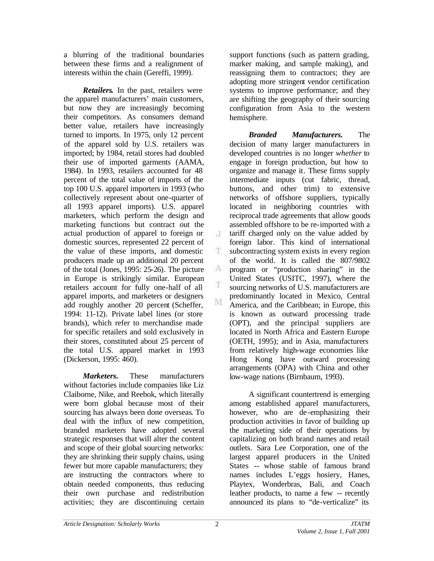a blurring of the traditional boundaries between these firms and a realignment of interests within the chain (Gereffi, 1999).

*Retailers.* In the past, retailers were the apparel manufacturers' main customers, but now they are increasingly becoming their competitors. As consumers demand better value, retailers have increasingly turned to imports. In 1975, only 12 percent of the apparel sold by U.S. retailers was imported; by 1984, retail stores had doubled their use of imported garments (AAMA, 1984). In 1993, retailers accounted for 48 percent of the total value of imports of the top 100 U.S. apparel importers in 1993 (who collectively represent about one-quarter of all 1993 apparel imports). U.S. apparel marketers, which perform the design and marketing functions but contract out the actual production of apparel to foreign or domestic sources, represented 22 percent of the value of these imports, and domestic producers made up an additional 20 percent of the total (Jones, 1995: 25-26). The picture in Europe is strikingly similar. European retailers account for fully one-half of all apparel imports, and marketers or designers add roughly another 20 percent (Scheffer, 1994: 11-12). Private label lines (or store brands), which refer to merchandise made for specific retailers and sold exclusively in their stores, constituted about 25 percent of the total U.S. apparel market in 1993 (Dickerson, 1995: 460).

*Marketers.* These manufacturers without factories include companies like Liz Claiborne, Nike, and Reebok, which literally were born global because most of their sourcing has always been done overseas. To deal with the influx of new competition, branded marketers have adopted several strategic responses that will alter the content and scope of their global sourcing networks: they are shrinking their supply chains, using fewer but more capable manufacturers; they are instructing the contractors where to obtain needed components, thus reducing their own purchase and redistribution activities; they are discontinuing certain

support functions (such as pattern grading, marker making, and sample making), and reassigning them to contractors; they are adopting more stringent vendor certification systems to improve performance; and they are shifting the geography of their sourcing configuration from Asia to the western hemisphere.

*Branded Manufacturers.* The decision of many larger manufacturers in developed countries is no longer *whether* to engage in foreign production, but how to organize and manage it. These firms supply intermediate inputs (cut fabric, thread, buttons, and other trim) to extensive networks of offshore suppliers, typically located in neighboring countries with reciprocal trade agreements that allow goods assembled offshore to be re-imported with a tariff charged only on the value added by foreign labor. This kind of international subcontracting system exists in every region of the world. It is called the 807/9802 program or "production sharing" in the United States (USITC, 1997), where the sourcing networks of U.S. manufacturers are predominantly located in Mexico, Central America, and the Caribbean; in Europe, this is known as outward processing trade (OPT), and the principal suppliers are located in North Africa and Eastern Europe (OETH, 1995); and in Asia, manufacturers from relatively high-wage economies like Hong Kong have outward processing arrangements (OPA) with China and other low-wage nations (Birnbaum, 1993).

A significant countertrend is emerging among established apparel manufacturers, however, who are de -emphasizing their production activities in favor of building up the marketing side of their operations by capitalizing on both brand names and retail outlets. Sara Lee Corporation, one of the largest apparel producers in the United States -- whose stable of famous brand names includes L'eggs hosiery, Hanes, Playtex, Wonderbras, Bali, and Coach leather products, to name a few -- recently announced its plans to "de-verticalize" its

J

T.

 $\Lambda$ 

T

M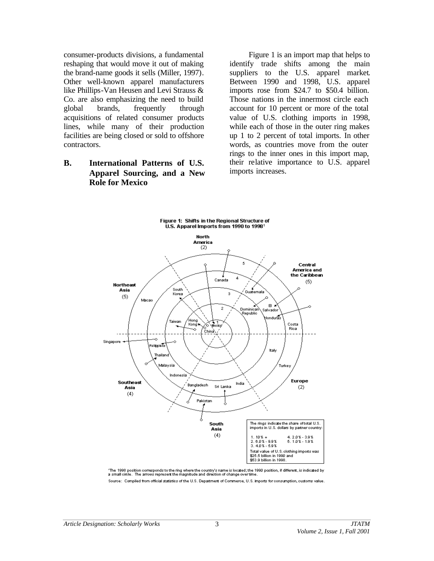consumer-products divisions, a fundamental reshaping that would move it out of making the brand-name goods it sells (Miller, 1997). Other well-known apparel manufacturers like Phillips-Van Heusen and Levi Strauss & Co. are also emphasizing the need to build global brands, frequently through acquisitions of related consumer products lines, while many of their production facilities are being closed or sold to offshore contractors.

# **B. International Patterns of U.S. Apparel Sourcing, and a New Role for Mexico**

Figure 1 is an import map that helps to identify trade shifts among the main suppliers to the U.S. apparel market. Between 1990 and 1998, U.S. apparel imports rose from \$24.7 to \$50.4 billion. Those nations in the innermost circle each account for 10 percent or more of the total value of U.S. clothing imports in 1998, while each of those in the outer ring makes up 1 to 2 percent of total imports. In other words, as countries move from the outer rings to the inner ones in this import map, their relative importance to U.S. apparel imports increases.



'The 1998 position corresponds to the ring where the country's name is located; the 1990 position, if different, is indicated by<br>a small circle. The arrows represent the magnitude and direction of change over time. Source: Compiled from official statistics of the U.S. Department of Commerce, U.S. imports for consumption, customs value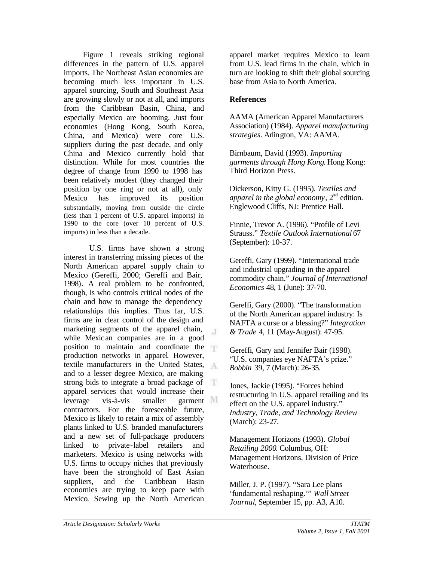Figure 1 reveals striking regional differences in the pattern of U.S. apparel imports. The Northeast Asian economies are becoming much less important in U.S. apparel sourcing, South and Southeast Asia are growing slowly or not at all, and imports from the Caribbean Basin, China, and especially Mexico are booming. Just four economies (Hong Kong, South Korea, China, and Mexico) were core U.S. suppliers during the past decade, and only China and Mexico currently hold that distinction. While for most countries the degree of change from 1990 to 1998 has been relatively modest (they changed their position by one ring or not at all), only Mexico has improved its position substantially, moving from outside the circle (less than 1 percent of U.S. apparel imports) in 1990 to the core (over 10 percent of U.S. imports) in less than a decade.

U.S. firms have shown a strong interest in transferring missing pieces of the North American apparel supply chain to Mexico (Gereffi, 2000; Gereffi and Bair, 1998). A real problem to be confronted, though, is who controls critical nodes of the chain and how to manage the dependency relationships this implies. Thus far, U.S. firms are in clear control of the design and marketing segments of the apparel chain,  $\overline{A}$ while Mexican companies are in a good position to maintain and coordinate the production networks in apparel. However, textile manufacturers in the United States, and to a lesser degree Mexico, are making strong bids to integrate a broad package of Œ. apparel services that would increase their leverage vis-à-vis smaller garment contractors. For the foreseeable future, Mexico is likely to retain a mix of assembly plants linked to U.S. branded manufacturers and a new set of full-package producers linked to private-label retailers and marketers. Mexico is using networks with U.S. firms to occupy niches that previously have been the stronghold of East Asian suppliers, and the Caribbean Basin economies are trying to keep pace with Mexico. Sewing up the North American

apparel market requires Mexico to learn from U.S. lead firms in the chain, which in turn are looking to shift their global sourcing base from Asia to North America.

## **References**

AAMA (American Apparel Manufacturers Association) (1984). *Apparel manufacturing strategies*. Arlington, VA: AAMA.

Birnbaum, David (1993). *Importing garments through Hong Kong*. Hong Kong: Third Horizon Press.

Dickerson, Kitty G. (1995). *Textiles and apparel in the global economy*,  $2<sup>nd</sup>$  edition. Englewood Cliffs, NJ: Prentice Hall.

Finnie, Trevor A. (1996). "Profile of Levi Strauss." *Textile Outlook International* 67 (September): 10-37.

Gereffi, Gary (1999). "International trade and industrial upgrading in the apparel commodity chain." *Journal of International Economics* 48, 1 (June): 37-70.

Gereffi, Gary (2000). "The transformation of the North American apparel industry: Is NAFTA a curse or a blessing?" *Integration & Trade* 4, 11 (May-August): 47-95.

Gereffi, Gary and Jennifer Bair (1998). "U.S. companies eye NAFTA's prize." *Bobbin* 39, 7 (March): 26-35.

Jones, Jackie (1995). "Forces behind restructuring in U.S. apparel retailing and its effect on the U.S. apparel industry." *Industry, Trade, and Technology Review* (March): 23-27.

Management Horizons (1993). *Global Retailing 2000*. Columbus, OH: Management Horizons, Division of Price Waterhouse.

Miller, J. P. (1997). "Sara Lee plans 'fundamental reshaping.'" *Wall Street Journal*, September 15, pp. A3, A10.